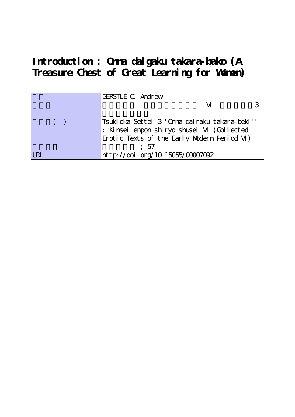**Introduction : Onna daigaku takara-bako (A Treasure Chest of Great Learning for Women)**

|     | <b>GERSTLE C Andrew</b>                       |  |
|-----|-----------------------------------------------|--|
|     |                                               |  |
|     |                                               |  |
|     | Tsukioka Settei 3 "Onna dairaku takara-beki'" |  |
|     | : Kinsei enpon shiryo shusei M (Collected     |  |
|     | Erotic Texts of the Early Modern Period M)    |  |
|     | : 57                                          |  |
| IRI | http://doi.org/10.15055/00007092              |  |